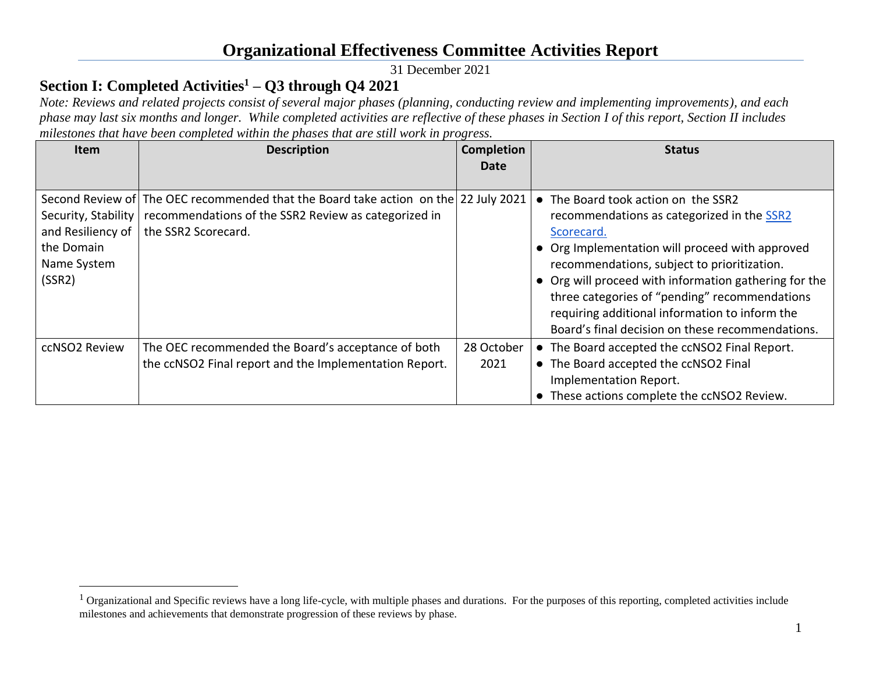31 December 2021

### **Section I: Completed Activities<sup>1</sup> – Q3 through Q4 2021**

*Note: Reviews and related projects consist of several major phases (planning, conducting review and implementing improvements), and each phase may last six months and longer. While completed activities are reflective of these phases in Section I of this report, Section II includes milestones that have been completed within the phases that are still work in progress.*

| <b>Item</b>                                                                     | <b>Description</b>                                                                                                                                                 | <b>Completion</b><br>Date | <b>Status</b>                                                                                                                                                                                                                                                                                                                                                                                                     |
|---------------------------------------------------------------------------------|--------------------------------------------------------------------------------------------------------------------------------------------------------------------|---------------------------|-------------------------------------------------------------------------------------------------------------------------------------------------------------------------------------------------------------------------------------------------------------------------------------------------------------------------------------------------------------------------------------------------------------------|
| Security, Stability<br>and Resiliency of<br>the Domain<br>Name System<br>(SSR2) | Second Review of The OEC recommended that the Board take action on the 22 July 2021<br>recommendations of the SSR2 Review as categorized in<br>the SSR2 Scorecard. |                           | • The Board took action on the SSR2<br>recommendations as categorized in the SSR2<br>Scorecard.<br>• Org Implementation will proceed with approved<br>recommendations, subject to prioritization.<br>• Org will proceed with information gathering for the<br>three categories of "pending" recommendations<br>requiring additional information to inform the<br>Board's final decision on these recommendations. |
| ccNSO2 Review                                                                   | The OEC recommended the Board's acceptance of both<br>the ccNSO2 Final report and the Implementation Report.                                                       | 28 October<br>2021        | • The Board accepted the ccNSO2 Final Report.<br>• The Board accepted the ccNSO2 Final<br>Implementation Report.<br>• These actions complete the ccNSO2 Review.                                                                                                                                                                                                                                                   |

<sup>&</sup>lt;sup>1</sup> Organizational and Specific reviews have a long life-cycle, with multiple phases and durations. For the purposes of this reporting, completed activities include milestones and achievements that demonstrate progression of these reviews by phase.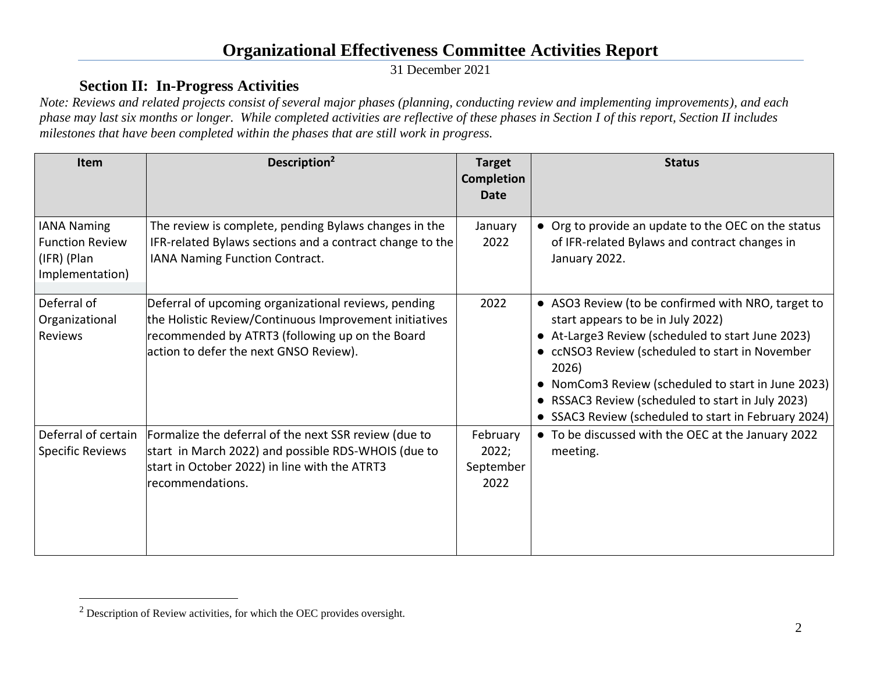31 December 2021

#### **Section II: In-Progress Activities**

*Note: Reviews and related projects consist of several major phases (planning, conducting review and implementing improvements), and each phase may last six months or longer. While completed activities are reflective of these phases in Section I of this report, Section II includes milestones that have been completed within the phases that are still work in progress.*

| Item                                                                           | Description <sup>2</sup>                                                                                                                                                                                    | <b>Target</b><br><b>Completion</b><br><b>Date</b> | <b>Status</b>                                                                                                                                                                                                                                                                                                                                                                          |
|--------------------------------------------------------------------------------|-------------------------------------------------------------------------------------------------------------------------------------------------------------------------------------------------------------|---------------------------------------------------|----------------------------------------------------------------------------------------------------------------------------------------------------------------------------------------------------------------------------------------------------------------------------------------------------------------------------------------------------------------------------------------|
| <b>IANA Naming</b><br><b>Function Review</b><br>(IFR) (Plan<br>Implementation) | The review is complete, pending Bylaws changes in the<br>IFR-related Bylaws sections and a contract change to the<br>IANA Naming Function Contract.                                                         | January<br>2022                                   | • Org to provide an update to the OEC on the status<br>of IFR-related Bylaws and contract changes in<br>January 2022.                                                                                                                                                                                                                                                                  |
| Deferral of<br>Organizational<br><b>Reviews</b>                                | Deferral of upcoming organizational reviews, pending<br>the Holistic Review/Continuous Improvement initiatives<br>recommended by ATRT3 (following up on the Board<br>action to defer the next GNSO Review). | 2022                                              | • ASO3 Review (to be confirmed with NRO, target to<br>start appears to be in July 2022)<br>• At-Large3 Review (scheduled to start June 2023)<br>• ccNSO3 Review (scheduled to start in November<br>2026)<br>• NomCom3 Review (scheduled to start in June 2023)<br>RSSAC3 Review (scheduled to start in July 2023)<br>$\bullet$<br>• SSAC3 Review (scheduled to start in February 2024) |
| Deferral of certain<br><b>Specific Reviews</b>                                 | Formalize the deferral of the next SSR review (due to<br>start in March 2022) and possible RDS-WHOIS (due to<br>start in October 2022) in line with the ATRT3<br>recommendations.                           | February<br>2022;<br>September<br>2022            | • To be discussed with the OEC at the January 2022<br>meeting.                                                                                                                                                                                                                                                                                                                         |

<sup>2</sup> Description of Review activities, for which the OEC provides oversight.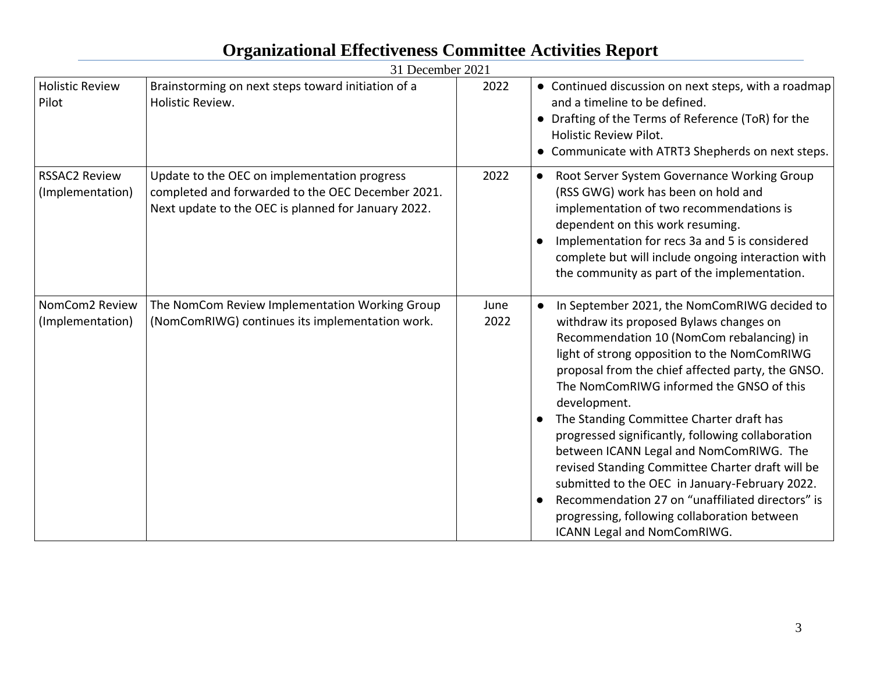|                                          | 31 December 2021                                                                                                                                         |              |                                                                                                                                                                                                                                                                                                                                                                                                                                                                                                                                                                                                                                                                                            |
|------------------------------------------|----------------------------------------------------------------------------------------------------------------------------------------------------------|--------------|--------------------------------------------------------------------------------------------------------------------------------------------------------------------------------------------------------------------------------------------------------------------------------------------------------------------------------------------------------------------------------------------------------------------------------------------------------------------------------------------------------------------------------------------------------------------------------------------------------------------------------------------------------------------------------------------|
| <b>Holistic Review</b><br>Pilot          | Brainstorming on next steps toward initiation of a<br>Holistic Review.                                                                                   | 2022         | • Continued discussion on next steps, with a roadmap<br>and a timeline to be defined.<br>• Drafting of the Terms of Reference (ToR) for the<br><b>Holistic Review Pilot.</b><br>• Communicate with ATRT3 Shepherds on next steps.                                                                                                                                                                                                                                                                                                                                                                                                                                                          |
| <b>RSSAC2 Review</b><br>(Implementation) | Update to the OEC on implementation progress<br>completed and forwarded to the OEC December 2021.<br>Next update to the OEC is planned for January 2022. | 2022         | Root Server System Governance Working Group<br>(RSS GWG) work has been on hold and<br>implementation of two recommendations is<br>dependent on this work resuming.<br>Implementation for recs 3a and 5 is considered<br>complete but will include ongoing interaction with<br>the community as part of the implementation.                                                                                                                                                                                                                                                                                                                                                                 |
| NomCom2 Review<br>(Implementation)       | The NomCom Review Implementation Working Group<br>(NomComRIWG) continues its implementation work.                                                        | June<br>2022 | In September 2021, the NomComRIWG decided to<br>withdraw its proposed Bylaws changes on<br>Recommendation 10 (NomCom rebalancing) in<br>light of strong opposition to the NomComRIWG<br>proposal from the chief affected party, the GNSO.<br>The NomComRIWG informed the GNSO of this<br>development.<br>The Standing Committee Charter draft has<br>progressed significantly, following collaboration<br>between ICANN Legal and NomComRIWG. The<br>revised Standing Committee Charter draft will be<br>submitted to the OEC in January-February 2022.<br>Recommendation 27 on "unaffiliated directors" is<br>progressing, following collaboration between<br>ICANN Legal and NomComRIWG. |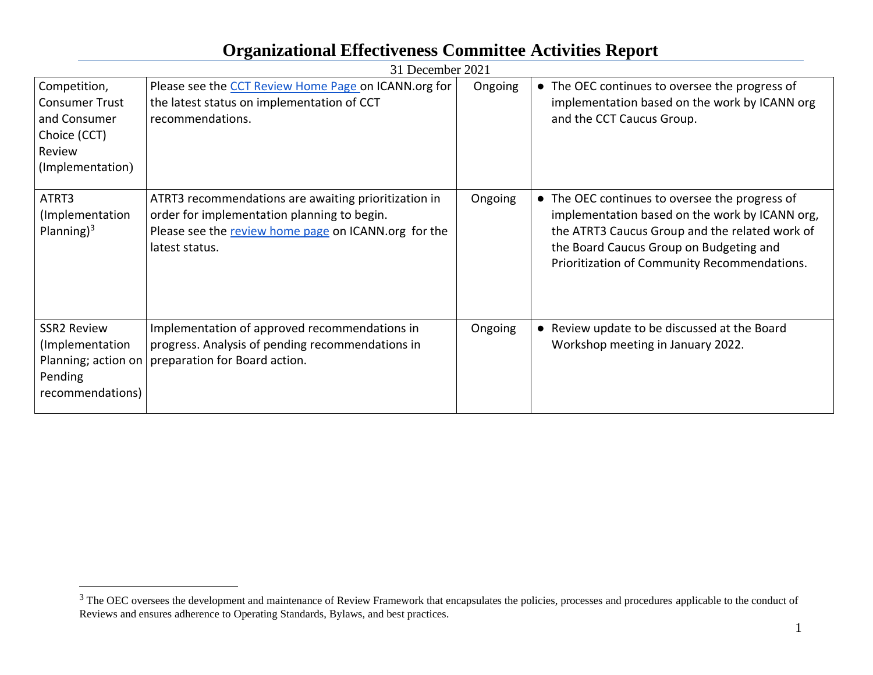|                                                                                                     | 31 December 2021                                                                                                                                                              |         |                                                                                                                                                                                                                                               |
|-----------------------------------------------------------------------------------------------------|-------------------------------------------------------------------------------------------------------------------------------------------------------------------------------|---------|-----------------------------------------------------------------------------------------------------------------------------------------------------------------------------------------------------------------------------------------------|
| Competition,<br><b>Consumer Trust</b><br>and Consumer<br>Choice (CCT)<br>Review<br>(Implementation) | Please see the CCT Review Home Page on ICANN.org for<br>the latest status on implementation of CCT<br>recommendations.                                                        | Ongoing | • The OEC continues to oversee the progress of<br>implementation based on the work by ICANN org<br>and the CCT Caucus Group.                                                                                                                  |
| ATRT3<br>(Implementation<br>Planning) $3$                                                           | ATRT3 recommendations are awaiting prioritization in<br>order for implementation planning to begin.<br>Please see the review home page on ICANN.org for the<br>latest status. | Ongoing | • The OEC continues to oversee the progress of<br>implementation based on the work by ICANN org,<br>the ATRT3 Caucus Group and the related work of<br>the Board Caucus Group on Budgeting and<br>Prioritization of Community Recommendations. |
| <b>SSR2 Review</b><br>(Implementation<br>Pending<br>recommendations)                                | Implementation of approved recommendations in<br>progress. Analysis of pending recommendations in<br>Planning; action on   preparation for Board action.                      | Ongoing | • Review update to be discussed at the Board<br>Workshop meeting in January 2022.                                                                                                                                                             |

 $3$  The OEC oversees the development and maintenance of Review Framework that encapsulates the policies, processes and procedures applicable to the conduct of Reviews and ensures adherence to Operating Standards, Bylaws, and best practices.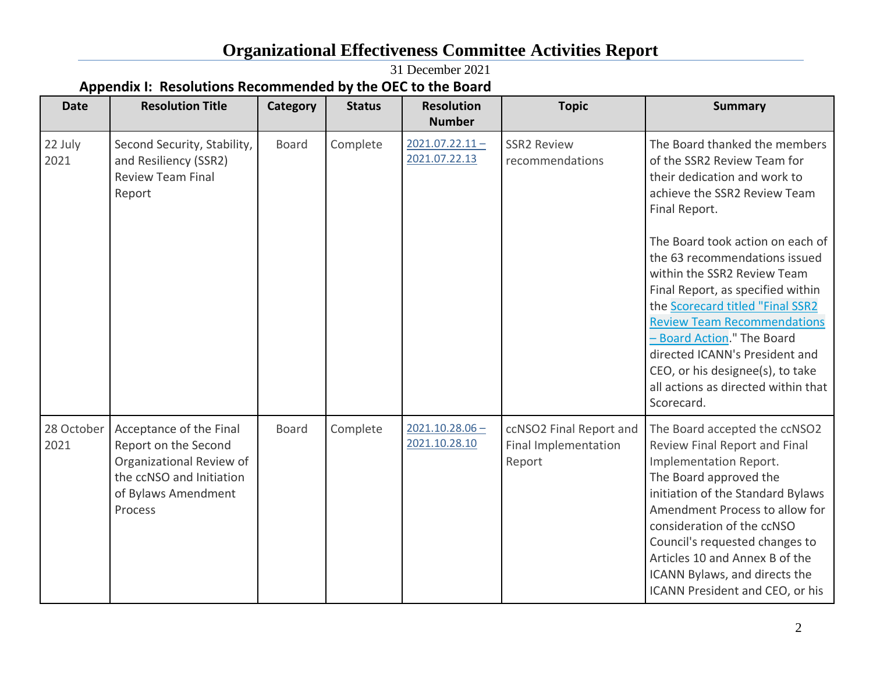31 December 2021

### **Appendix I: Resolutions Recommended by the OEC to the Board**

| <b>Date</b>        | <b>Resolution Title</b>                                                                                                                   | Category     | <b>Status</b> | <b>Resolution</b><br><b>Number</b> | <b>Topic</b>                                              | <b>Summary</b>                                                                                                                                                                                                                                                                                                                                                                                                                                                                                                            |
|--------------------|-------------------------------------------------------------------------------------------------------------------------------------------|--------------|---------------|------------------------------------|-----------------------------------------------------------|---------------------------------------------------------------------------------------------------------------------------------------------------------------------------------------------------------------------------------------------------------------------------------------------------------------------------------------------------------------------------------------------------------------------------------------------------------------------------------------------------------------------------|
| 22 July<br>2021    | Second Security, Stability,<br>and Resiliency (SSR2)<br><b>Review Team Final</b><br>Report                                                | <b>Board</b> | Complete      | $2021.07.22.11 -$<br>2021.07.22.13 | <b>SSR2 Review</b><br>recommendations                     | The Board thanked the members<br>of the SSR2 Review Team for<br>their dedication and work to<br>achieve the SSR2 Review Team<br>Final Report.<br>The Board took action on each of<br>the 63 recommendations issued<br>within the SSR2 Review Team<br>Final Report, as specified within<br>the Scorecard titled "Final SSR2<br><b>Review Team Recommendations</b><br>- Board Action." The Board<br>directed ICANN's President and<br>CEO, or his designee(s), to take<br>all actions as directed within that<br>Scorecard. |
| 28 October<br>2021 | Acceptance of the Final<br>Report on the Second<br>Organizational Review of<br>the ccNSO and Initiation<br>of Bylaws Amendment<br>Process | <b>Board</b> | Complete      | $2021.10.28.06 -$<br>2021.10.28.10 | ccNSO2 Final Report and<br>Final Implementation<br>Report | The Board accepted the ccNSO2<br>Review Final Report and Final<br>Implementation Report.<br>The Board approved the<br>initiation of the Standard Bylaws<br>Amendment Process to allow for<br>consideration of the ccNSO<br>Council's requested changes to<br>Articles 10 and Annex B of the<br>ICANN Bylaws, and directs the<br>ICANN President and CEO, or his                                                                                                                                                           |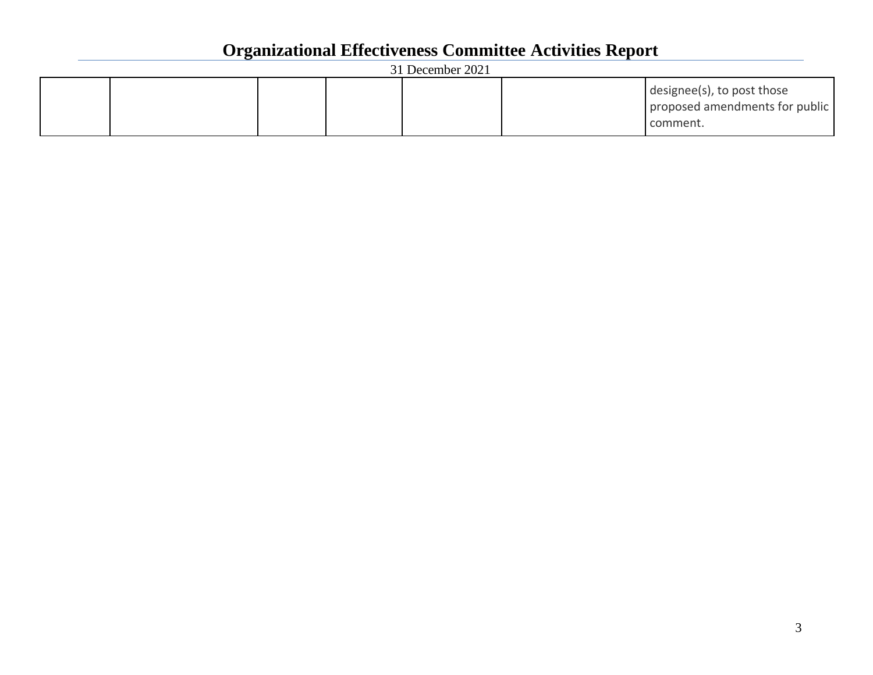| 31 December 2021 |  |  |  |  |                                                                          |
|------------------|--|--|--|--|--------------------------------------------------------------------------|
|                  |  |  |  |  | designee(s), to post those<br>proposed amendments for public<br>comment. |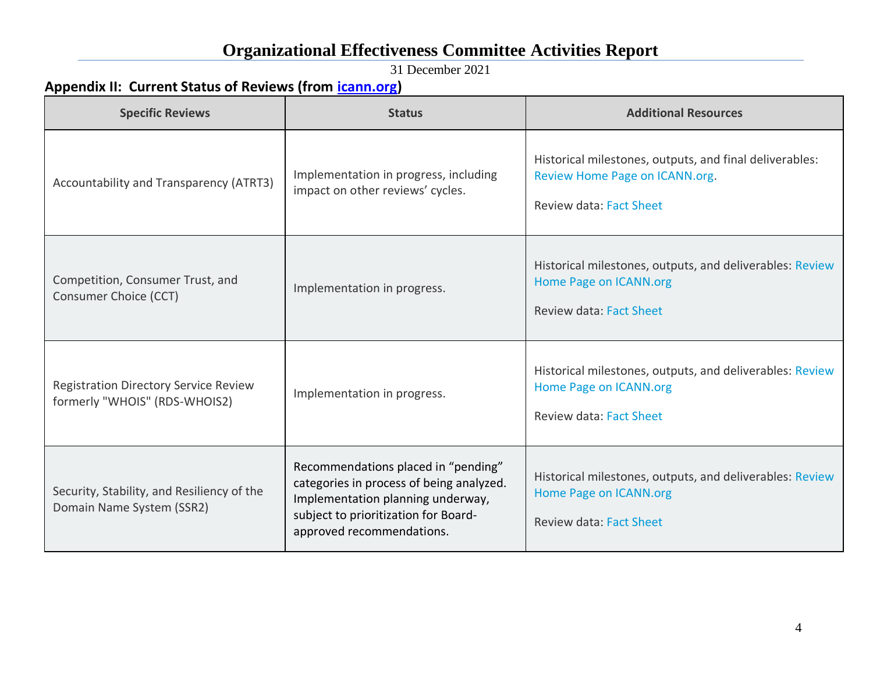31 December 2021

### **Appendix II: Current Status of Reviews (from [icann.org\)](https://www.icann.org/resources/reviews)**

| <b>Specific Reviews</b>                                                       | <b>Status</b>                                                                                                                                                                             | <b>Additional Resources</b>                                                                                                 |
|-------------------------------------------------------------------------------|-------------------------------------------------------------------------------------------------------------------------------------------------------------------------------------------|-----------------------------------------------------------------------------------------------------------------------------|
| Accountability and Transparency (ATRT3)                                       | Implementation in progress, including<br>impact on other reviews' cycles.                                                                                                                 | Historical milestones, outputs, and final deliverables:<br>Review Home Page on ICANN.org.<br><b>Review data: Fact Sheet</b> |
| Competition, Consumer Trust, and<br>Consumer Choice (CCT)                     | Implementation in progress.                                                                                                                                                               | Historical milestones, outputs, and deliverables: Review<br>Home Page on ICANN.org<br><b>Review data: Fact Sheet</b>        |
| <b>Registration Directory Service Review</b><br>formerly "WHOIS" (RDS-WHOIS2) | Implementation in progress.                                                                                                                                                               | Historical milestones, outputs, and deliverables: Review<br>Home Page on ICANN.org<br><b>Review data: Fact Sheet</b>        |
| Security, Stability, and Resiliency of the<br>Domain Name System (SSR2)       | Recommendations placed in "pending"<br>categories in process of being analyzed.<br>Implementation planning underway,<br>subject to prioritization for Board-<br>approved recommendations. | Historical milestones, outputs, and deliverables: Review<br>Home Page on ICANN.org<br>Review data: Fact Sheet               |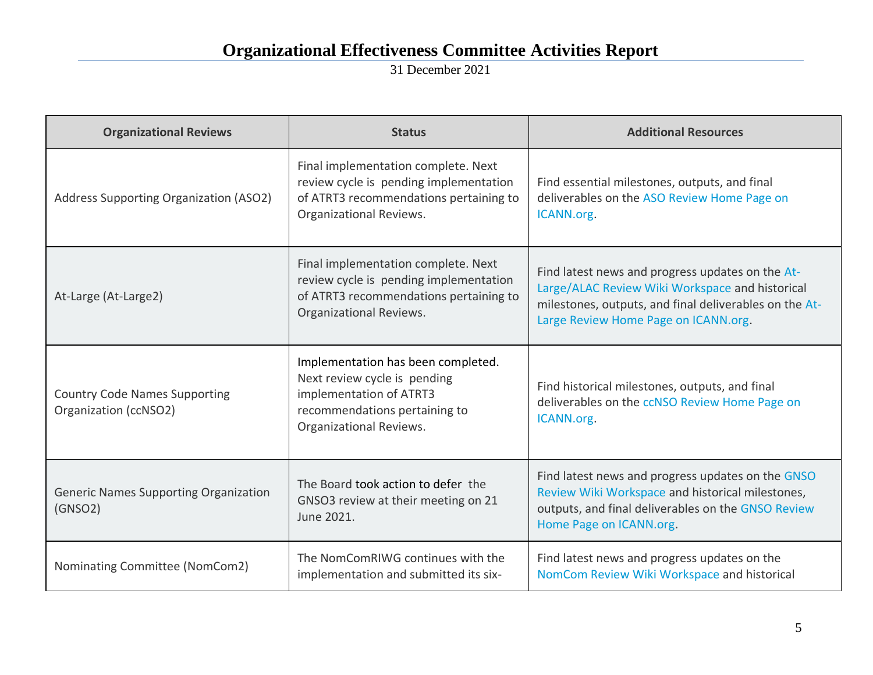31 December 2021

| <b>Organizational Reviews</b>                                 | <b>Status</b>                                                                                                                                             | <b>Additional Resources</b>                                                                                                                                                                           |
|---------------------------------------------------------------|-----------------------------------------------------------------------------------------------------------------------------------------------------------|-------------------------------------------------------------------------------------------------------------------------------------------------------------------------------------------------------|
| Address Supporting Organization (ASO2)                        | Final implementation complete. Next<br>review cycle is pending implementation<br>of ATRT3 recommendations pertaining to<br>Organizational Reviews.        | Find essential milestones, outputs, and final<br>deliverables on the ASO Review Home Page on<br>ICANN.org.                                                                                            |
| At-Large (At-Large2)                                          | Final implementation complete. Next<br>review cycle is pending implementation<br>of ATRT3 recommendations pertaining to<br>Organizational Reviews.        | Find latest news and progress updates on the At-<br>Large/ALAC Review Wiki Workspace and historical<br>milestones, outputs, and final deliverables on the At-<br>Large Review Home Page on ICANN.org. |
| <b>Country Code Names Supporting</b><br>Organization (ccNSO2) | Implementation has been completed.<br>Next review cycle is pending<br>implementation of ATRT3<br>recommendations pertaining to<br>Organizational Reviews. | Find historical milestones, outputs, and final<br>deliverables on the ccNSO Review Home Page on<br>ICANN.org.                                                                                         |
| <b>Generic Names Supporting Organization</b><br>(GNSO2)       | The Board took action to defer the<br>GNSO3 review at their meeting on 21<br>June 2021.                                                                   | Find latest news and progress updates on the GNSO<br>Review Wiki Workspace and historical milestones,<br>outputs, and final deliverables on the GNSO Review<br>Home Page on ICANN.org.                |
| Nominating Committee (NomCom2)                                | The NomComRIWG continues with the<br>implementation and submitted its six-                                                                                | Find latest news and progress updates on the<br>NomCom Review Wiki Workspace and historical                                                                                                           |